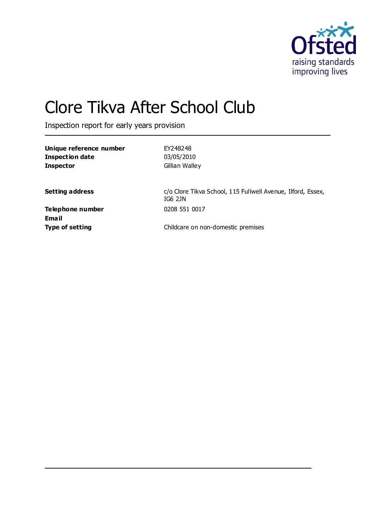

# Clore Tikva After School Club

Inspection report for early years provision

| Unique reference number | EY248248       |
|-------------------------|----------------|
| Inspection date         | 03/05/2010     |
| <b>Inspector</b>        | Gillian Walley |
|                         |                |

**Setting address Setting address** c/o Clore Tikva School, 115 Fullwell Avenue, Ilford, Essex, IG6 2JN

**Telephone number** 0208 551 0017 **Email**

**Type of setting Childcare on non-domestic premises**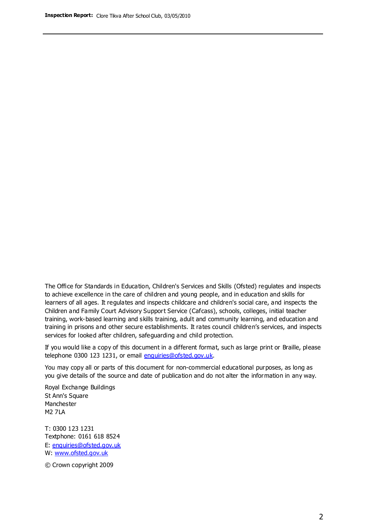The Office for Standards in Education, Children's Services and Skills (Ofsted) regulates and inspects to achieve excellence in the care of children and young people, and in education and skills for learners of all ages. It regulates and inspects childcare and children's social care, and inspects the Children and Family Court Advisory Support Service (Cafcass), schools, colleges, initial teacher training, work-based learning and skills training, adult and community learning, and education and training in prisons and other secure establishments. It rates council children's services, and inspects services for looked after children, safeguarding and child protection.

If you would like a copy of this document in a different format, such as large print or Braille, please telephone 0300 123 1231, or email enquiries@ofsted.gov.uk.

You may copy all or parts of this document for non-commercial educational purposes, as long as you give details of the source and date of publication and do not alter the information in any way.

Royal Exchange Buildings St Ann's Square Manchester M2 7LA

T: 0300 123 1231 Textphone: 0161 618 8524 E: enquiries@ofsted.gov.uk W: [www.ofsted.gov.uk](http://www.ofsted.gov.uk/)

© Crown copyright 2009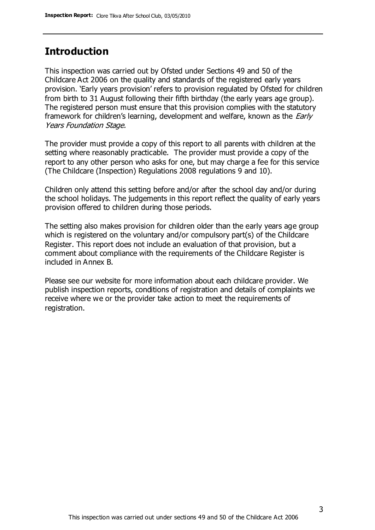### **Introduction**

This inspection was carried out by Ofsted under Sections 49 and 50 of the Childcare Act 2006 on the quality and standards of the registered early years provision. 'Early years provision' refers to provision regulated by Ofsted for children from birth to 31 August following their fifth birthday (the early years age group). The registered person must ensure that this provision complies with the statutory framework for children's learning, development and welfare, known as the *Early* Years Foundation Stage.

The provider must provide a copy of this report to all parents with children at the setting where reasonably practicable. The provider must provide a copy of the report to any other person who asks for one, but may charge a fee for this service (The Childcare (Inspection) Regulations 2008 regulations 9 and 10).

Children only attend this setting before and/or after the school day and/or during the school holidays. The judgements in this report reflect the quality of early years provision offered to children during those periods.

The setting also makes provision for children older than the early years age group which is registered on the voluntary and/or compulsory part(s) of the Childcare Register. This report does not include an evaluation of that provision, but a comment about compliance with the requirements of the Childcare Register is included in Annex B.

Please see our website for more information about each childcare provider. We publish inspection reports, conditions of registration and details of complaints we receive where we or the provider take action to meet the requirements of registration.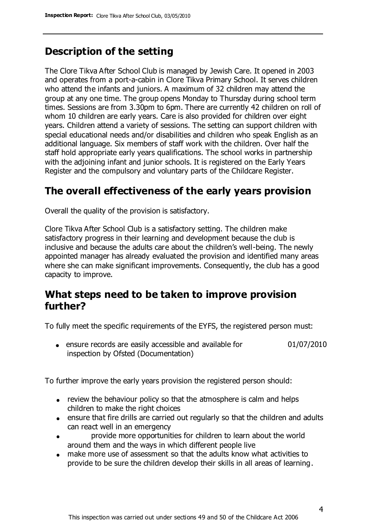## **Description of the setting**

The Clore Tikva After School Club is managed by Jewish Care. It opened in 2003 and operates from a port-a-cabin in Clore Tikva Primary School. It serves children who attend the infants and juniors. A maximum of 32 children may attend the group at any one time. The group opens Monday to Thursday during school term times. Sessions are from 3.30pm to 6pm. There are currently 42 children on roll of whom 10 children are early years. Care is also provided for children over eight years. Children attend a variety of sessions. The setting can support children with special educational needs and/or disabilities and children who speak English as an additional language. Six members of staff work with the children. Over half the staff hold appropriate early years qualifications. The school works in partnership with the adjoining infant and junior schools. It is registered on the Early Years Register and the compulsory and voluntary parts of the Childcare Register.

## **The overall effectiveness of the early years provision**

Overall the quality of the provision is satisfactory.

Clore Tikva After School Club is a satisfactory setting. The children make satisfactory progress in their learning and development because the club is inclusive and because the adults care about the children's well-being. The newly appointed manager has already evaluated the provision and identified many areas where she can make significant improvements. Consequently, the club has a good capacity to improve.

### **What steps need to be taken to improve provision further?**

To fully meet the specific requirements of the EYFS, the registered person must:

ensure records are easily accessible and available for inspection by Ofsted (Documentation) 01/07/2010

To further improve the early years provision the registered person should:

- review the behaviour policy so that the atmosphere is calm and helps children to make the right choices
- ensure that fire drills are carried out regularly so that the children and adults can react well in an emergency
- provide more opportunities for children to learn about the world around them and the ways in which different people live
- make more use of assessment so that the adults know what activities to provide to be sure the children develop their skills in all areas of learning.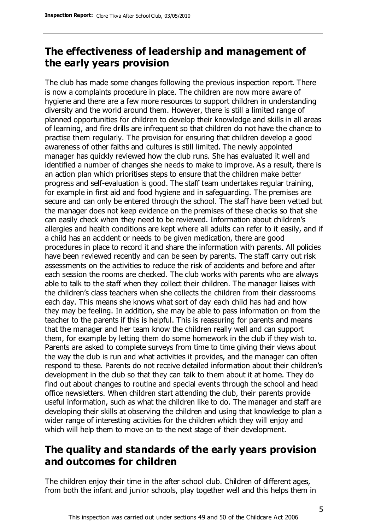## **The effectiveness of leadership and management of the early years provision**

The club has made some changes following the previous inspection report. There is now a complaints procedure in place. The children are now more aware of hygiene and there are a few more resources to support children in understanding diversity and the world around them. However, there is still a limited range of planned opportunities for children to develop their knowledge and skills in all areas of learning, and fire drills are infrequent so that children do not have the chance to practise them regularly. The provision for ensuring that children develop a good awareness of other faiths and cultures is still limited. The newly appointed manager has quickly reviewed how the club runs. She has evaluated it well and identified a number of changes she needs to make to improve. As a result, there is an action plan which prioritises steps to ensure that the children make better progress and self-evaluation is good. The staff team undertakes regular training, for example in first aid and food hygiene and in safeguarding. The premises are secure and can only be entered through the school. The staff have been vetted but the manager does not keep evidence on the premises of these checks so that she can easily check when they need to be reviewed. Information about children's allergies and health conditions are kept where all adults can refer to it easily, and if a child has an accident or needs to be given medication, there are good procedures in place to record it and share the information with parents. All policies have been reviewed recently and can be seen by parents. The staff carry out risk assessments on the activities to reduce the risk of accidents and before and after each session the rooms are checked. The club works with parents who are always able to talk to the staff when they collect their children. The manager liaises with the children's class teachers when she collects the children from their classrooms each day. This means she knows what sort of day each child has had and how they may be feeling. In addition, she may be able to pass information on from the teacher to the parents if this is helpful. This is reassuring for parents and means that the manager and her team know the children really well and can support them, for example by letting them do some homework in the club if they wish to. Parents are asked to complete surveys from time to time giving their views about the way the club is run and what activities it provides, and the manager can often respond to these. Parents do not receive detailed information about their children's development in the club so that they can talk to them about it at home. They do find out about changes to routine and special events through the school and head office newsletters. When children start attending the club, their parents provide useful information, such as what the children like to do. The manager and staff are developing their skills at observing the children and using that knowledge to plan a wider range of interesting activities for the children which they will enjoy and which will help them to move on to the next stage of their development.

## **The quality and standards of the early years provision and outcomes for children**

The children enjoy their time in the after school club. Children of different ages, from both the infant and junior schools, play together well and this helps them in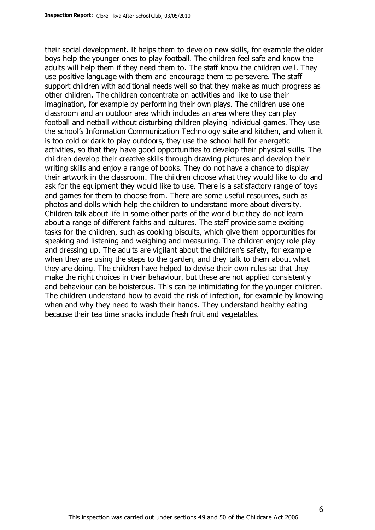their social development. It helps them to develop new skills, for example the older boys help the younger ones to play football. The children feel safe and know the adults will help them if they need them to. The staff know the children well. They use positive language with them and encourage them to persevere. The staff support children with additional needs well so that they make as much progress as other children. The children concentrate on activities and like to use their imagination, for example by performing their own plays. The children use one classroom and an outdoor area which includes an area where they can play football and netball without disturbing children playing individual games. They use the school's Information Communication Technology suite and kitchen, and when it is too cold or dark to play outdoors, they use the school hall for energetic activities, so that they have good opportunities to develop their physical skills. The children develop their creative skills through drawing pictures and develop their writing skills and enjoy a range of books. They do not have a chance to display their artwork in the classroom. The children choose what they would like to do and ask for the equipment they would like to use. There is a satisfactory range of toys and games for them to choose from. There are some useful resources, such as photos and dolls which help the children to understand more about diversity. Children talk about life in some other parts of the world but they do not learn about a range of different faiths and cultures. The staff provide some exciting tasks for the children, such as cooking biscuits, which give them opportunities for speaking and listening and weighing and measuring. The children enjoy role play and dressing up. The adults are vigilant about the children's safety, for example when they are using the steps to the garden, and they talk to them about what they are doing. The children have helped to devise their own rules so that they make the right choices in their behaviour, but these are not applied consistently and behaviour can be boisterous. This can be intimidating for the younger children. The children understand how to avoid the risk of infection, for example by knowing when and why they need to wash their hands. They understand healthy eating because their tea time snacks include fresh fruit and vegetables.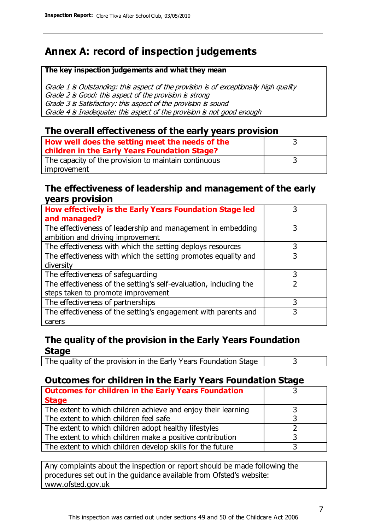## **Annex A: record of inspection judgements**

#### **The key inspection judgements and what they mean**

Grade 1 is Outstanding: this aspect of the provision is of exceptionally high quality Grade 2 is Good: this aspect of the provision is strong Grade 3 is Satisfactory: this aspect of the provision is sound Grade 4 is Inadequate: this aspect of the provision is not good enough

#### **The overall effectiveness of the early years provision**

| How well does the setting meet the needs of the<br>children in the Early Years Foundation Stage? |  |
|--------------------------------------------------------------------------------------------------|--|
| The capacity of the provision to maintain continuous                                             |  |
| improvement                                                                                      |  |

#### **The effectiveness of leadership and management of the early years provision**

| How effectively is the Early Years Foundation Stage led           |   |
|-------------------------------------------------------------------|---|
| and managed?                                                      |   |
| The effectiveness of leadership and management in embedding       | 3 |
| ambition and driving improvement                                  |   |
| The effectiveness with which the setting deploys resources        | 3 |
| The effectiveness with which the setting promotes equality and    |   |
| diversity                                                         |   |
| The effectiveness of safeguarding                                 | 3 |
| The effectiveness of the setting's self-evaluation, including the |   |
| steps taken to promote improvement                                |   |
| The effectiveness of partnerships                                 | 3 |
| The effectiveness of the setting's engagement with parents and    |   |
| carers                                                            |   |

#### **The quality of the provision in the Early Years Foundation Stage**

The quality of the provision in the Early Years Foundation Stage  $\vert$  3

#### **Outcomes for children in the Early Years Foundation Stage**

| <b>Outcomes for children in the Early Years Foundation</b>    |  |
|---------------------------------------------------------------|--|
| <b>Stage</b>                                                  |  |
| The extent to which children achieve and enjoy their learning |  |
| The extent to which children feel safe                        |  |
| The extent to which children adopt healthy lifestyles         |  |
| The extent to which children make a positive contribution     |  |
| The extent to which children develop skills for the future    |  |

Any complaints about the inspection or report should be made following the procedures set out in the guidance available from Ofsted's website: www.ofsted.gov.uk